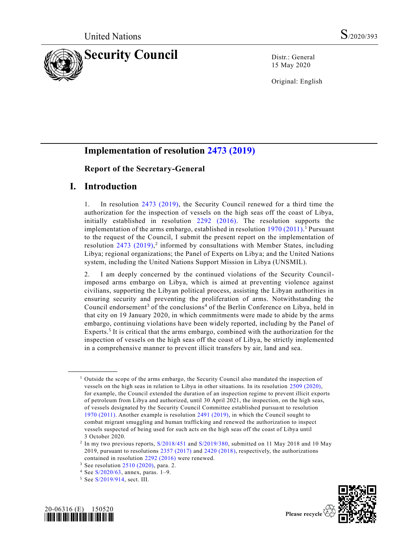

15 May 2020

Original: English

# **Implementation of resolution [2473 \(2019\)](https://undocs.org/en/S/RES/2473(2019))**

#### **Report of the Secretary-General**

### **I. Introduction**

1. In resolution [2473 \(2019\),](https://undocs.org/en/S/RES/2473(2019)) the Security Council renewed for a third time the authorization for the inspection of vessels on the high seas off the coast of Libya, initially established in resolution [2292 \(2016\).](https://undocs.org/en/S/RES/2292(2016)) The resolution supports the implementation of the arms embargo, established in resolution [1970 \(2011\).](https://undocs.org/en/S/RES/1970(2011)) <sup>1</sup> Pursuant to the request of the Council, I submit the present report on the implementation of resolution  $2473$   $(2019)$ ,<sup>2</sup> informed by consultations with Member States, including Libya; regional organizations; the Panel of Experts on Libya; and the United Nations system, including the United Nations Support Mission in Libya (UNSMIL).

2. I am deeply concerned by the continued violations of the Security Councilimposed arms embargo on Libya, which is aimed at preventing violence against civilians, supporting the Libyan political process, assisting the Libyan authorities in ensuring security and preventing the proliferation of arms. Notwithstanding the Council endorsement<sup>3</sup> of the conclusions<sup>4</sup> of the Berlin Conference on Libya, held in that city on 19 January 2020, in which commitments were made to abide by the arms embargo, continuing violations have been widely reported, including by the Panel of Experts.<sup>5</sup> It is critical that the arms embargo, combined with the authorization for the inspection of vessels on the high seas off the coast of Libya, be strictly implemented in a comprehensive manner to prevent illicit transfers by air, land and sea.

**\_\_\_\_\_\_\_\_\_\_\_\_\_\_\_\_\_\_**





 $<sup>1</sup>$  Outside the scope of the arms embargo, the Security Council also mandated the inspection of</sup> vessels on the high seas in relation to Libya in other situations. In its resolution [2509 \(2020\),](https://undocs.org/en/S/RES/2509(2020))  for example, the Council extended the duration of an inspection regime to prevent illicit exports of petroleum from Libya and authorized, until 30 April 2021, the inspection, on the high seas, of vessels designated by the Security Council Committee established pursuant to resolution 1970 [\(2011\).](https://undocs.org/en/S/RES/1970(2011)) Another example is resolution [2491 \(2019\),](https://undocs.org/en/S/RES/2491(2019)) in which the Council sought to combat migrant smuggling and human trafficking and renewed the authorization to inspect vessels suspected of being used for such acts on the high seas off the coast of Libya until 3 October 2020.

<sup>2</sup> In my two previous reports, [S/2018/451](https://undocs.org/en/S/2018/451) and [S/2019/380,](https://undocs.org/en/S/2019/380) submitted on 11 May 2018 and 10 May 2019, pursuant to resolutions [2357 \(2017\)](https://undocs.org/en/S/RES/2357(2017)) and [2420 \(2018\),](https://undocs.org/en/S/RES/2420(2018)) respectively, the authorizations contained in resolution [2292 \(2016\)](https://undocs.org/en/S/RES/2292(2016)) were renewed.

<sup>&</sup>lt;sup>3</sup> See resolution  $2510(2020)$ , para. 2.

 $4$  See [S/2020/63,](https://undocs.org/en/S/2020/63) annex, paras. 1–9.

<sup>5</sup> See [S/2019/914,](https://undocs.org/en/S/2019/914) sect. III.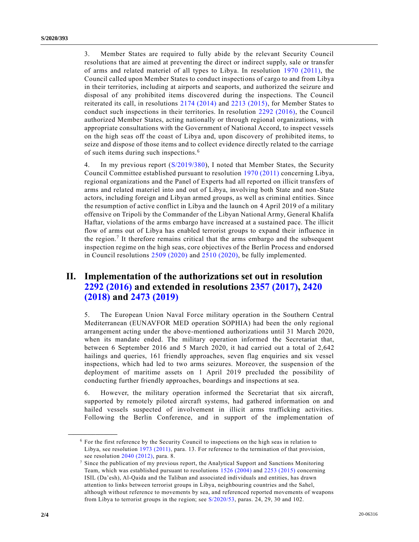3. Member States are required to fully abide by the relevant Security Council resolutions that are aimed at preventing the direct or indirect supply, sale or transfer of arms and related materiel of all types to Libya. In resolution [1970 \(2011\),](https://undocs.org/en/S/RES/1970(2011)) the Council called upon Member States to conduct inspections of cargo to and from Libya in their territories, including at airports and seaports, and authorized the seizure and disposal of any prohibited items discovered during the inspections. The Council reiterated its call, in resolutions [2174 \(2014\)](https://undocs.org/en/S/RES/2174(2014)) and [2213 \(2015\),](https://undocs.org/en/S/RES/2213(2015)) for Member States to conduct such inspections in their territories. In resolution [2292 \(2016\),](https://undocs.org/en/S/RES/2292(2016)) the Council authorized Member States, acting nationally or through regional organizations, with appropriate consultations with the Government of National Accord, to inspect vessels on the high seas off the coast of Libya and, upon discovery of prohibited items, to seize and dispose of those items and to collect evidence directly related to the carriage of such items during such inspections. <sup>6</sup>

4. In my previous report [\(S/2019/380\)](https://undocs.org/en/S/2019/380), I noted that Member States, the Security Council Committee established pursuant to resolution [1970 \(2011\)](https://undocs.org/en/S/RES/1970(2011)) concerning Libya, regional organizations and the Panel of Experts had all reported on illicit transfers of arms and related materiel into and out of Libya, involving both State and non-State actors, including foreign and Libyan armed groups, as well as criminal entities. Since the resumption of active conflict in Libya and the launch on 4 April 2019 of a military offensive on Tripoli by the Commander of the Libyan National Army, General Khalifa Haftar, violations of the arms embargo have increased at a sustained pace. The illicit flow of arms out of Libya has enabled terrorist groups to expand their influence in the region.<sup>7</sup> It therefore remains critical that the arms embargo and the subsequent inspection regime on the high seas, core objectives of the Berlin Process and endorsed in Council resolutions [2509 \(2020\)](https://undocs.org/en/S/RES/2509(2020)) and [2510 \(2020\),](https://undocs.org/en/S/RES/2510(2020)) be fully implemented.

# **II. Implementation of the authorizations set out in resolution [2292 \(2016\)](https://undocs.org/en/S/RES/2292(2016)) and extended in resolutions [2357 \(2017\),](https://undocs.org/en/S/RES/2357(2017)) [2420](https://undocs.org/en/S/RES/2420(2018))  [\(2018\)](https://undocs.org/en/S/RES/2420(2018)) and [2473 \(2019\)](https://undocs.org/en/S/RES/2473(2019))**

5. The European Union Naval Force military operation in the Southern Central Mediterranean (EUNAVFOR MED operation SOPHIA) had been the only regional arrangement acting under the above-mentioned authorizations until 31 March 2020, when its mandate ended. The military operation informed the Secretariat that, between 6 September 2016 and 5 March 2020, it had carried out a total of 2,642 hailings and queries, 161 friendly approaches, seven flag enquiries and six vessel inspections, which had led to two arms seizures. Moreover, the suspension of the deployment of maritime assets on 1 April 2019 precluded the possibility of conducting further friendly approaches, boardings and inspections at sea.

6. However, the military operation informed the Secretariat that six aircraft, supported by remotely piloted aircraft systems, had gathered information on and hailed vessels suspected of involvement in illicit arms trafficking activities. Following the Berlin Conference, and in support of the implementation of

**\_\_\_\_\_\_\_\_\_\_\_\_\_\_\_\_\_\_**

<sup>6</sup> For the first reference by the Security Council to inspections on the high seas in relation to Libya, see resolution [1973 \(2011\),](https://undocs.org/en/S/RES/1973(2011)) para. 13. For reference to the termination of that provision, see resolution [2040 \(2012\),](https://undocs.org/en/S/RES/2040(2012)) para. 8.

<sup>7</sup> Since the publication of my previous report, the Analytical Support and Sanctions Monitoring Team, which was established pursuant to resolutions [1526 \(2004\)](https://undocs.org/en/S/RES/1526(2004)) and [2253 \(2015\)](https://undocs.org/en/S/RES/2253(2015)) concerning ISIL (Da'esh), Al-Qaida and the Taliban and associated individuals and entities, has drawn attention to links between terrorist groups in Libya, neighbouring countries and the Sahel, although without reference to movements by sea, and referenced reported movements of weapons from Libya to terrorist groups in the region; see [S/2020/53,](https://undocs.org/en/S/2020/53) paras. 24, 29, 30 and 102.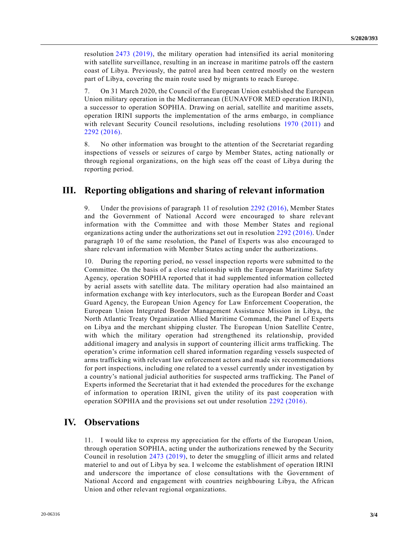resolution [2473 \(2019\),](https://undocs.org/en/S/RES/2473(2019)) the military operation had intensified its aerial monitoring with satellite surveillance, resulting in an increase in maritime patrols off the eastern coast of Libya. Previously, the patrol area had been centred mostly on the western part of Libya, covering the main route used by migrants to reach Europe.

7. On 31 March 2020, the Council of the European Union established the European Union military operation in the Mediterranean (EUNAVFOR MED operation IRINI), a successor to operation SOPHIA. Drawing on aerial, satellite and maritime assets, operation IRINI supports the implementation of the arms embargo, in compliance with relevant Security Council resolutions, including resolutions [1970 \(2011\)](https://undocs.org/en/S/RES/1970(2011)) and [2292 \(2016\).](https://undocs.org/en/S/RES/2292(2016))

8. No other information was brought to the attention of the Secretariat regarding inspections of vessels or seizures of cargo by Member States, acting nationally or through regional organizations, on the high seas off the coast of Libya during the reporting period.

#### **III. Reporting obligations and sharing of relevant information**

9. Under the provisions of paragraph 11 of resolution [2292 \(2016\),](https://undocs.org/en/S/RES/2292(2016)) Member States and the Government of National Accord were encouraged to share relevant information with the Committee and with those Member States and regional organizations acting under the authorizations set out in resolution [2292 \(2016\).](https://undocs.org/en/S/RES/2292(2016)) Under paragraph 10 of the same resolution, the Panel of Experts was also encouraged to share relevant information with Member States acting under the authorizations.

10. During the reporting period, no vessel inspection reports were submitted to the Committee. On the basis of a close relationship with the European Maritime Safety Agency, operation SOPHIA reported that it had supplemented information collected by aerial assets with satellite data. The military operation had also maintained an information exchange with key interlocutors, such as the European Border and Coast Guard Agency, the European Union Agency for Law Enforcement Cooperation, the European Union Integrated Border Management Assistance Mission in Libya, the North Atlantic Treaty Organization Allied Maritime Command, the Panel of Experts on Libya and the merchant shipping cluster. The European Union Satellite Centre, with which the military operation had strengthened its relationship, provided additional imagery and analysis in support of countering illicit arms trafficking. The operation's crime information cell shared information regarding vessels suspected of arms trafficking with relevant law enforcement actors and made six recommendations for port inspections, including one related to a vessel currently under investigation by a country's national judicial authorities for suspected arms trafficking. The Panel of Experts informed the Secretariat that it had extended the procedures for the exchange of information to operation IRINI, given the utility of its past cooperation with operation SOPHIA and the provisions set out under resolution [2292 \(2016\).](https://undocs.org/en/S/RES/2292(2016))

### **IV. Observations**

11. I would like to express my appreciation for the efforts of the European Union, through operation SOPHIA, acting under the authorizations renewed by the Security Council in resolution [2473 \(2019\),](https://undocs.org/en/S/RES/2473(2019)) to deter the smuggling of illicit arms and related materiel to and out of Libya by sea. I welcome the establishment of operation IRINI and underscore the importance of close consultations with the Government of National Accord and engagement with countries neighbouring Libya, the African Union and other relevant regional organizations.